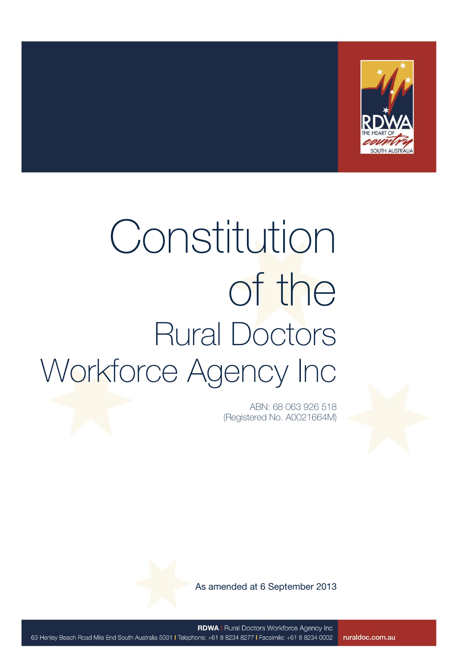

# Constitution of the Rural Doctors Workforce Agency Inc

ABN: 68 063 926 518 (Registered No. A0021664M)

As amended at 6 September 2013

**RDWA | Rural Doctors Workforce Agency Inc** 63 Henley Beach Road Mile End South Australia 5031 I Telephone: +61 8 8234 8277 I Facsimile: +61 8 8234 0002 ruraldoc.com.au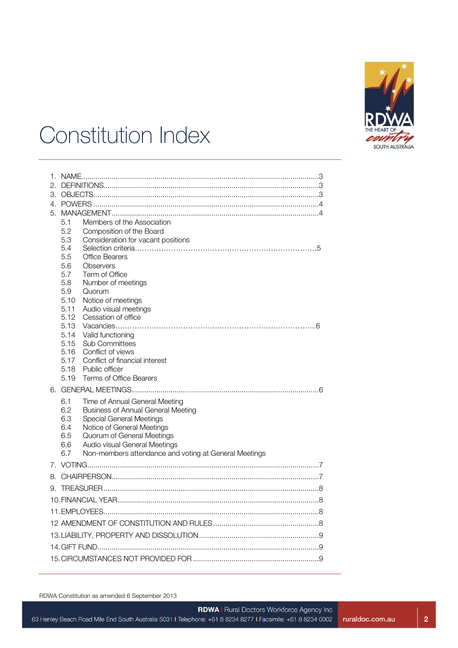

### Constitution Index

| $\mathcal{P}$ |              |                                                       |  |
|---------------|--------------|-------------------------------------------------------|--|
|               |              |                                                       |  |
|               |              |                                                       |  |
|               | 5.1          | Members of the Association                            |  |
|               | 5.2          | Composition of the Board                              |  |
|               | 5.3          | Consideration for vacant positions                    |  |
|               | 5.4          |                                                       |  |
|               | 5.5          | <b>Office Bearers</b>                                 |  |
|               | 5.6          | Observers                                             |  |
|               | 5.7          | Term of Office                                        |  |
|               | 5.8          | Number of meetings                                    |  |
|               | 5.9          | Quorum                                                |  |
|               | 5.10         | Notice of meetings                                    |  |
|               | 5.11         | Audio visual meetings                                 |  |
|               | 5.12         | Cessation of office                                   |  |
|               | 5.13<br>5.14 |                                                       |  |
|               | 5.15         | Valid functioning<br><b>Sub Committees</b>            |  |
|               | 5.16         | Conflict of views                                     |  |
|               | 5.17         | Conflict of financial interest                        |  |
|               | 5.18         | Public officer                                        |  |
|               | 5.19         | Terms of Office Bearers                               |  |
|               |              |                                                       |  |
|               | 6.1          | Time of Annual General Meeting                        |  |
|               | 6.2          | <b>Business of Annual General Meeting</b>             |  |
|               | 6.3          | <b>Special General Meetings</b>                       |  |
|               | 6.4          | Notice of General Meetings                            |  |
|               | 6.5          | Quorum of General Meetings                            |  |
|               | 6.6          | Audio visual General Meetings                         |  |
|               | 6.7          | Non-members attendance and voting at General Meetings |  |
|               |              |                                                       |  |
| 8.            |              |                                                       |  |
|               |              |                                                       |  |
|               |              |                                                       |  |
|               |              |                                                       |  |
|               |              |                                                       |  |
|               |              |                                                       |  |
|               |              |                                                       |  |
|               |              |                                                       |  |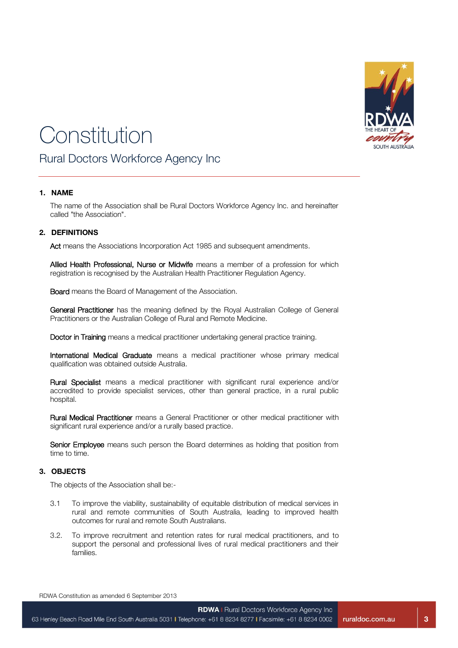

## Constitution

Rural Doctors Workforce Agency Inc

#### **1. NAME**

The name of the Association shall be Rural Doctors Workforce Agency Inc. and hereinafter called "the Association".

#### **2. DEFINITIONS**

Act means the Associations Incorporation Act 1985 and subsequent amendments.

Allied Health Professional, Nurse or Midwife means a member of a profession for which registration is recognised by the Australian Health Practitioner Regulation Agency.

Board means the Board of Management of the Association.

General Practitioner has the meaning defined by the Royal Australian College of General Practitioners or the Australian College of Rural and Remote Medicine.

Doctor in Training means a medical practitioner undertaking general practice training.

International Medical Graduate means a medical practitioner whose primary medical qualification was obtained outside Australia.

Rural Specialist means a medical practitioner with significant rural experience and/or accredited to provide specialist services, other than general practice, in a rural public hospital.

Rural Medical Practitioner means a General Practitioner or other medical practitioner with significant rural experience and/or a rurally based practice.

Senior Employee means such person the Board determines as holding that position from time to time.

#### **3. OBJECTS**

The objects of the Association shall be:-

- 3.1 To improve the viability, sustainability of equitable distribution of medical services in rural and remote communities of South Australia, leading to improved health outcomes for rural and remote South Australians.
- 3.2. To improve recruitment and retention rates for rural medical practitioners, and to support the personal and professional lives of rural medical practitioners and their families.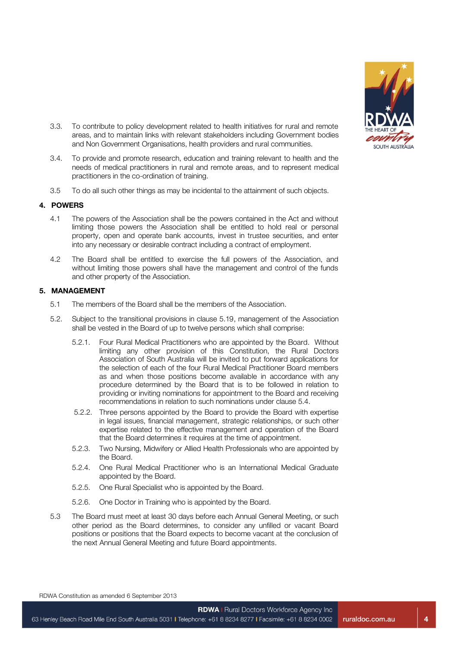

- 3.3. To contribute to policy development related to health initiatives for rural and remote areas, and to maintain links with relevant stakeholders including Government bodies and Non Government Organisations, health providers and rural communities.
- 3.4. To provide and promote research, education and training relevant to health and the needs of medical practitioners in rural and remote areas, and to represent medical practitioners in the co-ordination of training.
- 3.5 To do all such other things as may be incidental to the attainment of such objects.

#### **4. POWERS**

- 4.1 The powers of the Association shall be the powers contained in the Act and without limiting those powers the Association shall be entitled to hold real or personal property, open and operate bank accounts, invest in trustee securities, and enter into any necessary or desirable contract including a contract of employment.
- 4.2 The Board shall be entitled to exercise the full powers of the Association, and without limiting those powers shall have the management and control of the funds and other property of the Association.

#### **5. MANAGEMENT**

- 5.1 The members of the Board shall be the members of the Association.
- 5.2. Subject to the transitional provisions in clause 5.19, management of the Association shall be vested in the Board of up to twelve persons which shall comprise:
	- 5.2.1. Four Rural Medical Practitioners who are appointed by the Board. Without limiting any other provision of this Constitution, the Rural Doctors Association of South Australia will be invited to put forward applications for the selection of each of the four Rural Medical Practitioner Board members as and when those positions become available in accordance with any procedure determined by the Board that is to be followed in relation to providing or inviting nominations for appointment to the Board and receiving recommendations in relation to such nominations under clause 5.4.
	- 5.2.2. Three persons appointed by the Board to provide the Board with expertise in legal issues, financial management, strategic relationships, or such other expertise related to the effective management and operation of the Board that the Board determines it requires at the time of appointment.
	- 5.2.3. Two Nursing, Midwifery or Allied Health Professionals who are appointed by the Board.
	- 5.2.4. One Rural Medical Practitioner who is an International Medical Graduate appointed by the Board.
	- 5.2.5. One Rural Specialist who is appointed by the Board.
	- 5.2.6. One Doctor in Training who is appointed by the Board.
- 5.3 The Board must meet at least 30 days before each Annual General Meeting, or such other period as the Board determines, to consider any unfilled or vacant Board positions or positions that the Board expects to become vacant at the conclusion of the next Annual General Meeting and future Board appointments.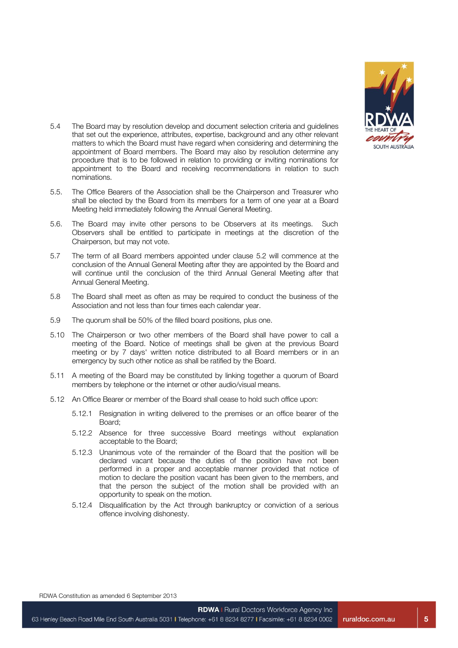

- 5.4 The Board may by resolution develop and document selection criteria and guidelines that set out the experience, attributes, expertise, background and any other relevant matters to which the Board must have regard when considering and determining the appointment of Board members. The Board may also by resolution determine any procedure that is to be followed in relation to providing or inviting nominations for appointment to the Board and receiving recommendations in relation to such nominations.
- 5.5. The Office Bearers of the Association shall be the Chairperson and Treasurer who shall be elected by the Board from its members for a term of one year at a Board Meeting held immediately following the Annual General Meeting.
- 5.6. The Board may invite other persons to be Observers at its meetings. Such Observers shall be entitled to participate in meetings at the discretion of the Chairperson, but may not vote.
- 5.7 The term of all Board members appointed under clause 5.2 will commence at the conclusion of the Annual General Meeting after they are appointed by the Board and will continue until the conclusion of the third Annual General Meeting after that Annual General Meeting.
- 5.8 The Board shall meet as often as may be required to conduct the business of the Association and not less than four times each calendar year.
- 5.9 The quorum shall be 50% of the filled board positions, plus one.
- 5.10 The Chairperson or two other members of the Board shall have power to call a meeting of the Board. Notice of meetings shall be given at the previous Board meeting or by 7 days' written notice distributed to all Board members or in an emergency by such other notice as shall be ratified by the Board.
- 5.11 A meeting of the Board may be constituted by linking together a quorum of Board members by telephone or the internet or other audio/visual means.
- 5.12 An Office Bearer or member of the Board shall cease to hold such office upon:
	- 5.12.1 Resignation in writing delivered to the premises or an office bearer of the Board;
	- 5.12.2 Absence for three successive Board meetings without explanation acceptable to the Board;
	- 5.12.3 Unanimous vote of the remainder of the Board that the position will be declared vacant because the duties of the position have not been performed in a proper and acceptable manner provided that notice of motion to declare the position vacant has been given to the members, and that the person the subject of the motion shall be provided with an opportunity to speak on the motion.
	- 5.12.4 Disqualification by the Act through bankruptcy or conviction of a serious offence involving dishonesty.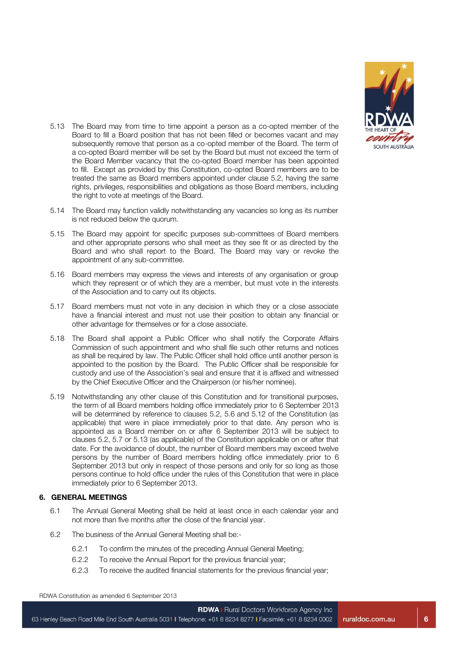

- 5.13 The Board may from time to time appoint a person as a co-opted member of the Board to fill a Board position that has not been filled or becomes vacant and may subsequently remove that person as a co-opted member of the Board. The term of a co-opted Board member will be set by the Board but must not exceed the term of the Board Member vacancy that the co-opted Board member has been appointed to fill. Except as provided by this Constitution, co-opted Board members are to be treated the same as Board members appointed under clause 5.2, having the same rights, privileges, responsibilities and obligations as those Board members, including the right to vote at meetings of the Board.
- 5.14 The Board may function validly notwithstanding any vacancies so long as its number is not reduced below the quorum.
- 5.15 The Board may appoint for specific purposes sub-committees of Board members and other appropriate persons who shall meet as they see fit or as directed by the Board and who shall report to the Board. The Board may vary or revoke the appointment of any sub-committee.
- 5.16 Board members may express the views and interests of any organisation or group which they represent or of which they are a member, but must vote in the interests of the Association and to carry out its objects.
- 5.17 Board members must not vote in any decision in which they or a close associate have a financial interest and must not use their position to obtain any financial or other advantage for themselves or for a close associate.
- 5.18 The Board shall appoint a Public Officer who shall notify the Corporate Affairs Commission of such appointment and who shall file such other returns and notices as shall be required by law. The Public Officer shall hold office until another person is appointed to the position by the Board. The Public Officer shall be responsible for custody and use of the Association's seal and ensure that it is affixed and witnessed by the Chief Executive Officer and the Chairperson (or his/her nominee).
- 5.19 Notwithstanding any other clause of this Constitution and for transitional purposes, the term of all Board members holding office immediately prior to 6 September 2013 will be determined by reference to clauses 5.2, 5.6 and 5.12 of the Constitution (as applicable) that were in place immediately prior to that date. Any person who is appointed as a Board member on or after 6 September 2013 will be subject to clauses 5.2, 5.7 or 5.13 (as applicable) of the Constitution applicable on or after that date. For the avoidance of doubt, the number of Board members may exceed twelve persons by the number of Board members holding office immediately prior to 6 September 2013 but only in respect of those persons and only for so long as those persons continue to hold office under the rules of this Constitution that were in place immediately prior to 6 September 2013.

#### **6. GENERAL MEETINGS**

- 6.1 The Annual General Meeting shall be held at least once in each calendar year and not more than five months after the close of the financial year.
- 6.2 The business of the Annual General Meeting shall be:-
	- 6.2.1 To confirm the minutes of the preceding Annual General Meeting;
	- 6.2.2 To receive the Annual Report for the previous financial year;
	- 6.2.3 To receive the audited financial statements for the previous financial year;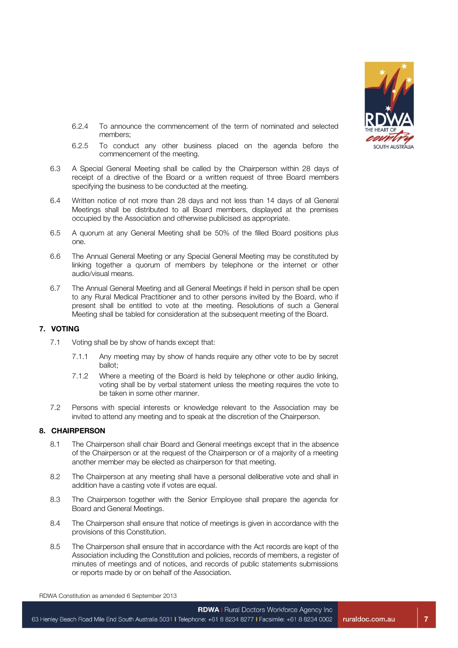

- 6.2.4 To announce the commencement of the term of nominated and selected members;
- 6.2.5 To conduct any other business placed on the agenda before the commencement of the meeting.
- 6.3 A Special General Meeting shall be called by the Chairperson within 28 days of receipt of a directive of the Board or a written request of three Board members specifying the business to be conducted at the meeting.
- 6.4 Written notice of not more than 28 days and not less than 14 days of all General Meetings shall be distributed to all Board members, displayed at the premises occupied by the Association and otherwise publicised as appropriate.
- 6.5 A quorum at any General Meeting shall be 50% of the filled Board positions plus one.
- 6.6 The Annual General Meeting or any Special General Meeting may be constituted by linking together a quorum of members by telephone or the internet or other audio/visual means.
- 6.7 The Annual General Meeting and all General Meetings if held in person shall be open to any Rural Medical Practitioner and to other persons invited by the Board, who if present shall be entitled to vote at the meeting. Resolutions of such a General Meeting shall be tabled for consideration at the subsequent meeting of the Board.

#### **7. VOTING**

- 7.1 Voting shall be by show of hands except that:
	- 7.1.1 Any meeting may by show of hands require any other vote to be by secret ballot;
	- 7.1.2 Where a meeting of the Board is held by telephone or other audio linking, voting shall be by verbal statement unless the meeting requires the vote to be taken in some other manner.
- 7.2 Persons with special interests or knowledge relevant to the Association may be invited to attend any meeting and to speak at the discretion of the Chairperson.

#### **8. CHAIRPERSON**

- 8.1 The Chairperson shall chair Board and General meetings except that in the absence of the Chairperson or at the request of the Chairperson or of a majority of a meeting another member may be elected as chairperson for that meeting.
- 8.2 The Chairperson at any meeting shall have a personal deliberative vote and shall in addition have a casting vote if votes are equal.
- 8.3 The Chairperson together with the Senior Employee shall prepare the agenda for Board and General Meetings.
- 8.4 The Chairperson shall ensure that notice of meetings is given in accordance with the provisions of this Constitution.
- 8.5 The Chairperson shall ensure that in accordance with the Act records are kept of the Association including the Constitution and policies, records of members, a register of minutes of meetings and of notices, and records of public statements submissions or reports made by or on behalf of the Association.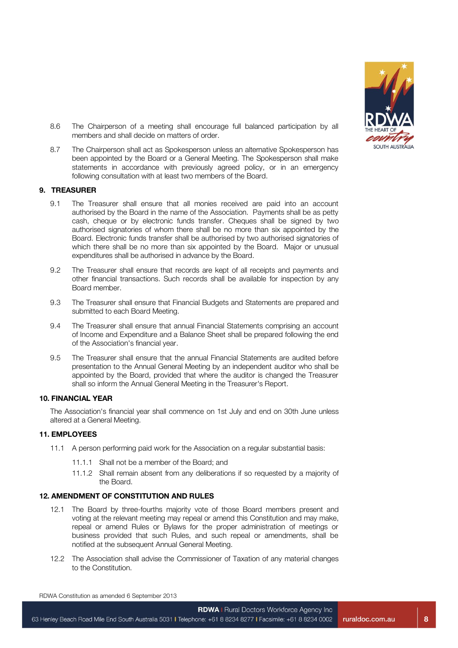

- 8.6 The Chairperson of a meeting shall encourage full balanced participation by all members and shall decide on matters of order.
- 8.7 The Chairperson shall act as Spokesperson unless an alternative Spokesperson has been appointed by the Board or a General Meeting. The Spokesperson shall make statements in accordance with previously agreed policy, or in an emergency following consultation with at least two members of the Board.

#### **9. TREASURER**

- 9.1 The Treasurer shall ensure that all monies received are paid into an account authorised by the Board in the name of the Association. Payments shall be as petty cash, cheque or by electronic funds transfer. Cheques shall be signed by two authorised signatories of whom there shall be no more than six appointed by the Board. Electronic funds transfer shall be authorised by two authorised signatories of which there shall be no more than six appointed by the Board. Major or unusual expenditures shall be authorised in advance by the Board.
- 9.2 The Treasurer shall ensure that records are kept of all receipts and payments and other financial transactions. Such records shall be available for inspection by any Board member.
- 9.3 The Treasurer shall ensure that Financial Budgets and Statements are prepared and submitted to each Board Meeting.
- 9.4 The Treasurer shall ensure that annual Financial Statements comprising an account of Income and Expenditure and a Balance Sheet shall be prepared following the end of the Association's financial year.
- 9.5 The Treasurer shall ensure that the annual Financial Statements are audited before presentation to the Annual General Meeting by an independent auditor who shall be appointed by the Board, provided that where the auditor is changed the Treasurer shall so inform the Annual General Meeting in the Treasurer's Report.

#### **10. FINANCIAL YEAR**

The Association's financial year shall commence on 1st July and end on 30th June unless altered at a General Meeting.

#### **11. EMPLOYEES**

- 11.1 A person performing paid work for the Association on a regular substantial basis:
	- 11.1.1 Shall not be a member of the Board; and
	- 11.1.2 Shall remain absent from any deliberations if so requested by a majority of the Board.

#### **12. AMENDMENT OF CONSTITUTION AND RULES**

- 12.1 The Board by three-fourths majority vote of those Board members present and voting at the relevant meeting may repeal or amend this Constitution and may make, repeal or amend Rules or Bylaws for the proper administration of meetings or business provided that such Rules, and such repeal or amendments, shall be notified at the subsequent Annual General Meeting.
- 12.2 The Association shall advise the Commissioner of Taxation of any material changes to the Constitution.